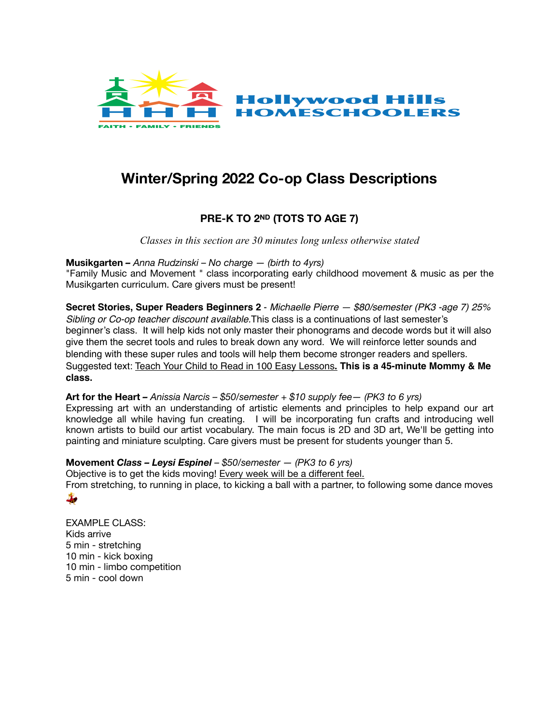

# **Winter/Spring 2022 Co-op Class Descriptions**

# **PRE-K TO 2ND (TOTS TO AGE 7)**

*Classes in this section are 30 minutes long unless otherwise stated*

# **Musikgarten** *– Anna Rudzinski – No charge — (birth to 4yrs)*

"Family Music and Movement " class incorporating early childhood movement & music as per the Musikgarten curriculum. Care givers must be present!

**Secret Stories, Super Readers Beginners 2** - *Michaelle Pierre — \$80/semester (PK3 -age 7) 25% Sibling or Co-op teacher discount available.*This class is a continuations of last semester's beginner's class. It will help kids not only master their phonograms and decode words but it will also give them the secret tools and rules to break down any word. We will reinforce letter sounds and blending with these super rules and tools will help them become stronger readers and spellers. Suggested text: [Teach Your Child to Read in 100 Easy Lessons](https://www.amazon.com/Teach-Your-Child-Read-Lessons/dp/0671631985/ref=sr_1_3?crid=DQJBWYA8R3BJ&dchild=1&keywords=teach+your+child+to+read+in+100+easy+lessons&qid=1627423630&sprefix=teach+your+child+t%2Caps%2C169&sr=8-3)**. This is a 45-minute Mommy & Me class.**

**Art for the Heart** *– Anissia Narcis – \$50/semester + \$10 supply fee— (PK3 to 6 yrs)* Expressing art with an understanding of artistic elements and principles to help expand our art knowledge all while having fun creating. I will be incorporating fun crafts and introducing well known artists to build our artist vocabulary. The main focus is 2D and 3D art, We'll be getting into painting and miniature sculpting. Care givers must be present for students younger than 5.

**Movement** *Class – Leysi Espinel – \$50/semester — (PK3 to 6 yrs)* Objective is to get the kids moving! Every week will be a different feel. From stretching, to running in place, to kicking a ball with a partner, to following some dance moves  $\frac{1}{2}$ 

EXAMPLE CLASS: Kids arrive 5 min - stretching 10 min - kick boxing 10 min - limbo competition 5 min - cool down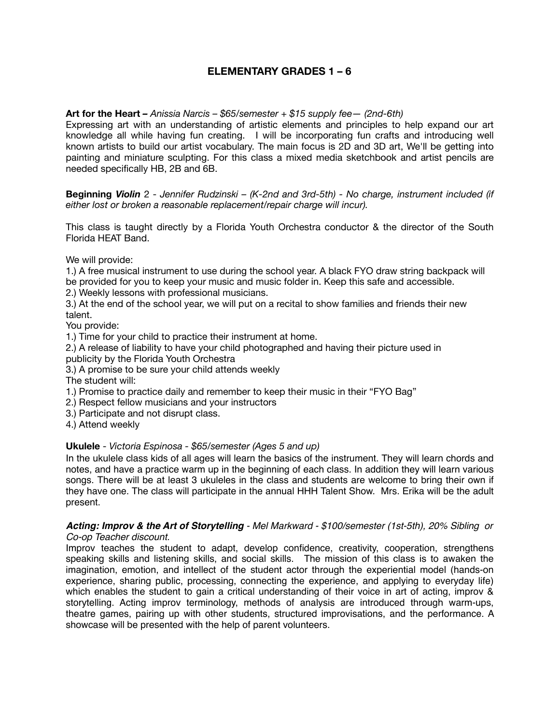# **ELEMENTARY GRADES 1 – 6**

# **Art for the Heart** *– Anissia Narcis – \$65/semester + \$15 supply fee— (2nd-6th)*

Expressing art with an understanding of artistic elements and principles to help expand our art knowledge all while having fun creating. I will be incorporating fun crafts and introducing well known artists to build our artist vocabulary. The main focus is 2D and 3D art, We'll be getting into painting and miniature sculpting. For this class a mixed media sketchbook and artist pencils are needed specifically HB, 2B and 6B.

**Beginning** *Violin* 2 - *Jennifer Rudzinski – (K-2nd and 3rd-5th) - No charge, instrument included (if either lost or broken a reasonable replacement/repair charge will incur).* 

This class is taught directly by a Florida Youth Orchestra conductor & the director of the South Florida HEAT Band.

We will provide:

1.) A free musical instrument to use during the school year. A black FYO draw string backpack will be provided for you to keep your music and music folder in. Keep this safe and accessible.

2.) Weekly lessons with professional musicians.

3.) At the end of the school year, we will put on a recital to show families and friends their new talent.

You provide:

1.) Time for your child to practice their instrument at home.

2.) A release of liability to have your child photographed and having their picture used in

publicity by the Florida Youth Orchestra

3.) A promise to be sure your child attends weekly

The student will:

1.) Promise to practice daily and remember to keep their music in their "FYO Bag"

2.) Respect fellow musicians and your instructors

3.) Participate and not disrupt class.

4.) Attend weekly

#### **Ukulele** - *Victoria Espinosa - \$65/semester (Ages 5 and up)*

In the ukulele class kids of all ages will learn the basics of the instrument. They will learn chords and notes, and have a practice warm up in the beginning of each class. In addition they will learn various songs. There will be at least 3 ukuleles in the class and students are welcome to bring their own if they have one. The class will participate in the annual HHH Talent Show. Mrs. Erika will be the adult present.

#### *Acting: Improv & the Art of Storytelling - Mel Markward - \$100/semester (1st-5th), 20% Sibling or Co-op Teacher discount.*

Improv teaches the student to adapt, develop confidence, creativity, cooperation, strengthens speaking skills and listening skills, and social skills. The mission of this class is to awaken the imagination, emotion, and intellect of the student actor through the experiential model (hands-on experience, sharing public, processing, connecting the experience, and applying to everyday life) which enables the student to gain a critical understanding of their voice in art of acting, improv & storytelling. Acting improv terminology, methods of analysis are introduced through warm-ups, theatre games, pairing up with other students, structured improvisations, and the performance. A showcase will be presented with the help of parent volunteers.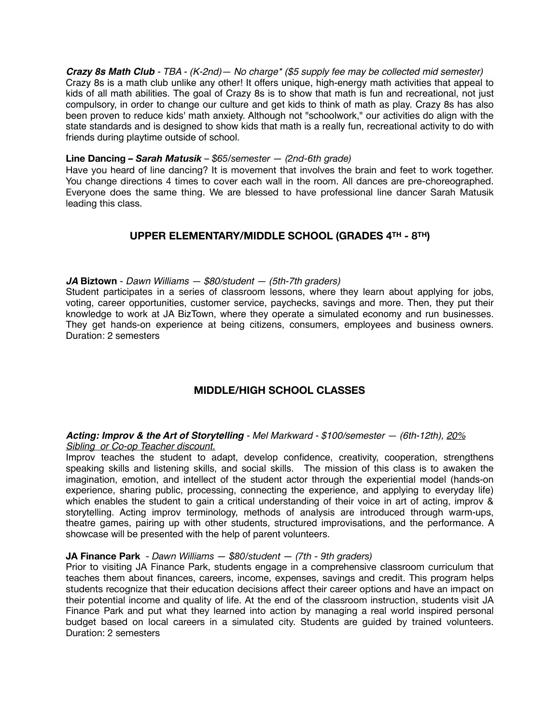*Crazy 8s Math Club - TBA - (K-2nd)— No charge\* (\$5 supply fee may be collected mid semester)* Crazy 8s is a math club unlike any other! It offers unique, high-energy math activities that appeal to kids of all math abilities. The goal of Crazy 8s is to show that math is fun and recreational, not just compulsory, in order to change our culture and get kids to think of math as play. Crazy 8s has also been proven to reduce kids' math anxiety. Although not "schoolwork," our activities do align with the state standards and is designed to show kids that math is a really fun, recreational activity to do with friends during playtime outside of school.

## **Line Dancing** *– Sarah Matusik – \$65/semester — (2nd-6th grade)*

Have you heard of line dancing? It is movement that involves the brain and feet to work together. You change directions 4 times to cover each wall in the room. All dances are pre-choreographed. Everyone does the same thing. We are blessed to have professional line dancer Sarah Matusik leading this class.

# **UPPER ELEMENTARY/MIDDLE SCHOOL (GRADES 4TH - 8TH)**

## *JA* **Biztown** - *Dawn Williams — \$80/student — (5th-7th graders)*

Student participates in a series of classroom lessons, where they learn about applying for jobs, voting, career opportunities, customer service, paychecks, savings and more. Then, they put their knowledge to work at JA BizTown, where they operate a simulated economy and run businesses. They get hands-on experience at being citizens, consumers, employees and business owners. Duration: 2 semesters

# **MIDDLE/HIGH SCHOOL CLASSES**

## *Acting: Improv & the Art of Storytelling - Mel Markward - \$100/semester — (6th-12th), 20% Sibling or Co-op Teacher discount.*

Improv teaches the student to adapt, develop confidence, creativity, cooperation, strengthens speaking skills and listening skills, and social skills. The mission of this class is to awaken the imagination, emotion, and intellect of the student actor through the experiential model (hands-on experience, sharing public, processing, connecting the experience, and applying to everyday life) which enables the student to gain a critical understanding of their voice in art of acting, improv & storytelling. Acting improv terminology, methods of analysis are introduced through warm-ups, theatre games, pairing up with other students, structured improvisations, and the performance. A showcase will be presented with the help of parent volunteers.

#### **JA Finance Park** - *Dawn Williams — \$80/student — (7th - 9th graders)*

Prior to visiting JA Finance Park, students engage in a comprehensive classroom curriculum that teaches them about finances, careers, income, expenses, savings and credit. This program helps students recognize that their education decisions affect their career options and have an impact on their potential income and quality of life. At the end of the classroom instruction, students visit JA Finance Park and put what they learned into action by managing a real world inspired personal budget based on local careers in a simulated city. Students are guided by trained volunteers. Duration: 2 semesters